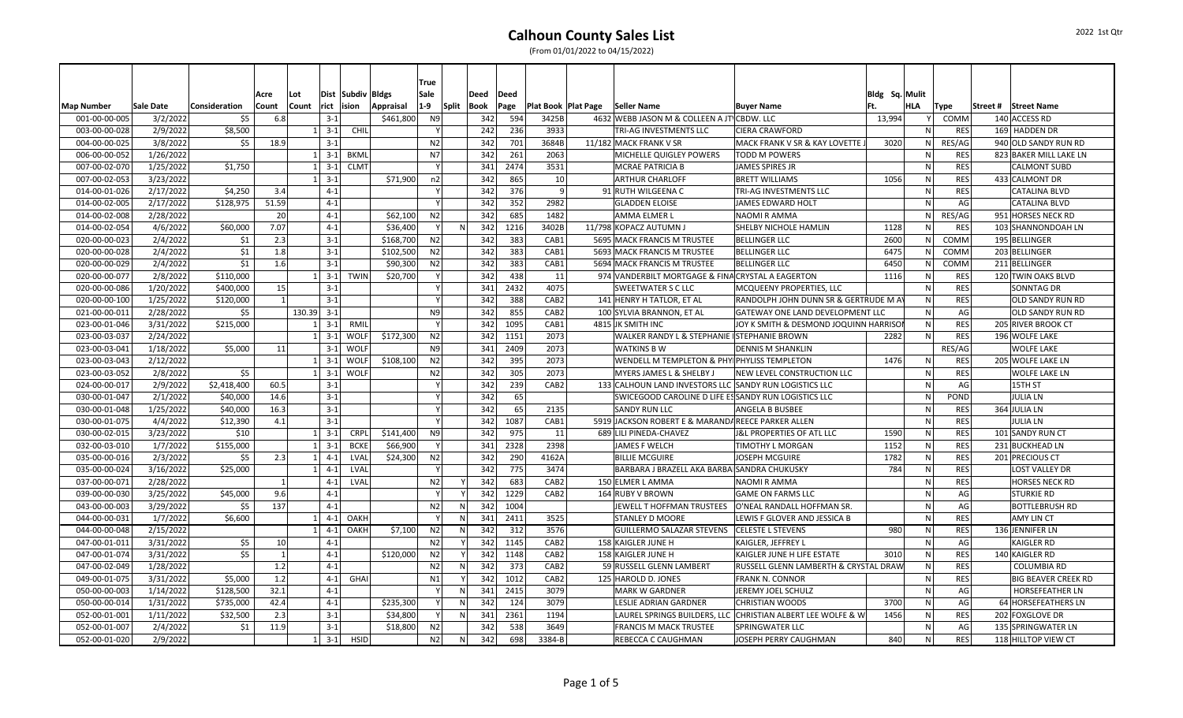|                   |                  |               |       |                     |                |                   |           | True           |              |      |      |                       |                                                        |                                                             |                |              |             |          |                            |
|-------------------|------------------|---------------|-------|---------------------|----------------|-------------------|-----------|----------------|--------------|------|------|-----------------------|--------------------------------------------------------|-------------------------------------------------------------|----------------|--------------|-------------|----------|----------------------------|
|                   |                  |               | Acre  | Lot                 |                | Dist Subdiv Bldgs |           | Sale           |              | Deed | Deed |                       |                                                        |                                                             | Bldg Sq. Mulit |              |             |          |                            |
| <b>Map Number</b> | <b>Sale Date</b> | Consideration | Count | Count               | rict<br>lision |                   | Appraisal | $1-9$          | Split        | Book | Page | Plat Book   Plat Page | Seller Name                                            | <b>Buyer Name</b>                                           |                | <b>HLA</b>   | Type        | Street # | Street Name                |
| 001-00-00-005     | 3/2/2022         | \$5           | 6.8   |                     | $3 - 1$        |                   | \$461,800 | N <sub>9</sub> |              | 342  | 594  | 3425B                 | 4632 WEBB JASON M & COLLEEN A JT CBDW. LLC             |                                                             | 13,994         |              | COMM        |          | 140 ACCESS RD              |
| 003-00-00-028     | 2/9/2022         | \$8,500       |       |                     | $3 - 1$        | CHIL              |           |                |              | 242  | 236  | 3933                  | TRI-AG INVESTMENTS LLC                                 | <b>CIERA CRAWFORD</b>                                       |                | N            | <b>RES</b>  |          | 169 HADDEN DR              |
| 004-00-00-025     | 3/8/2022         | \$5           | 18.9  |                     | $3 - 1$        |                   |           | N <sub>2</sub> |              | 342  | 701  | 3684B                 | 11/182 MACK FRANK V SR                                 | MACK FRANK V SR & KAY LOVETTE                               | 3020           | ${\sf N}$    | RES/AG      |          | 940 OLD SANDY RUN RD       |
| 006-00-00-052     | 1/26/2022        |               |       | $1 \mid 3-1 \mid$   |                | <b>BKML</b>       |           | N7             |              | 342  | 261  | 2063                  | <b>MICHELLE QUIGLEY POWERS</b>                         | <b>TODD M POWERS</b>                                        |                | N            | <b>RES</b>  |          | 823 BAKER MILL LAKE LN     |
| 007-00-02-070     | 1/25/2022        | \$1,750       |       | $1 \mid 3-1 \mid$   |                | <b>CLMT</b>       |           |                |              | 341  | 2474 | 3531                  | <b>MCRAE PATRICIA B</b>                                | JAMES SPIRES JR                                             |                | $\mathsf{N}$ | <b>RES</b>  |          | <b>CALMONT SUBD</b>        |
| 007-00-02-053     | 3/23/2022        |               |       | $1 \quad 3-1$       |                |                   | \$71,900  | n2             |              | 342  | 865  | 10                    | <b>ARTHUR CHARLOFF</b>                                 | <b>BRETT WILLIAMS</b>                                       | 1056           | N            | <b>RES</b>  |          | 433 CALMONT DR             |
| 014-00-01-026     | 2/17/2022        | \$4,250       | 3.4   |                     | $4 - 1$        |                   |           |                |              | 342  | 376  | 9                     | 91 RUTH WILGEENA C                                     | TRI-AG INVESTMENTS LLC                                      |                | N            | <b>RES</b>  |          | CATALINA BLVD              |
| 014-00-02-005     | 2/17/2022        | \$128,975     | 51.59 |                     | $4 - 1$        |                   |           |                |              | 342  | 352  | 2982                  | <b>GLADDEN ELOISE</b>                                  | JAMES EDWARD HOLT                                           |                | ${\sf N}$    | AG          |          | CATALINA BLVD              |
| 014-00-02-008     | 2/28/2022        |               | 20    |                     | $4 - 1$        |                   | \$62,100  | N <sub>2</sub> |              | 342  | 685  | 1482                  | <b>AMMA ELMER L</b>                                    | <b>NAOMI R AMMA</b>                                         |                | N            | RES/AG      |          | 951 HORSES NECK RD         |
| 014-00-02-054     | 4/6/2022         | \$60,000      | 7.07  |                     | $4 - 1$        |                   | \$36,400  |                | $\sqrt{ }$   | 342  | 1216 | 3402B                 | 11/798 KOPACZ AUTUMN,                                  | <b>SHELBY NICHOLE HAMLIN</b>                                | 1128           | N            | <b>RES</b>  |          | 103 SHANNONDOAH LN         |
| 020-00-00-023     | 2/4/2022         | \$1           | 2.3   |                     | $3 - 1$        |                   | \$168,700 | N <sub>2</sub> |              | 342  | 383  | CAB1                  | 5695 MACK FRANCIS M TRUSTEE                            | <b>BELLINGER LLC</b>                                        | 2600           | $\mathsf{N}$ | COMM        |          | 195 BELLINGER              |
| 020-00-00-028     | 2/4/2022         | \$1           | 1.8   |                     | $3 - 1$        |                   | \$102,500 | N <sub>2</sub> |              | 342  | 383  | CAB1                  | 5693 MACK FRANCIS M TRUSTEE                            | <b>BELLINGER LLC</b>                                        | 6475           | N.           | <b>COMM</b> |          | 203 BELLINGER              |
| 020-00-00-029     | 2/4/2022         | \$1           | 1.6   |                     | $3 - 1$        |                   | \$90,300  | N2             |              | 342  | 383  | CAB1                  | 5694 MACK FRANCIS M TRUSTEE                            | <b>BELLINGER LLC</b>                                        | 6450           | N            | COMM        |          | 211 BELLINGER              |
| 020-00-00-077     | 2/8/2022         | \$110,000     |       | $1 \mid 3-1 \mid$   |                | <b>TWIN</b>       | \$20,700  |                |              | 342  | 438  | 11                    | 974 VANDERBILT MORTGAGE & FINA CRYSTAL A EAGERTON      |                                                             | 1116           | N            | <b>RES</b>  |          | 120 TWIN OAKS BLVD         |
| 020-00-00-086     | 1/20/2022        | \$400,000     | 15    |                     | $3 - 1$        |                   |           |                |              | 341  | 2432 | 4075                  | <b>SWEETWATER S C LLC</b>                              | MCQUEENY PROPERTIES, LLC                                    |                | $\mathsf{N}$ | <b>RES</b>  |          | <b>SONNTAG DR</b>          |
| 020-00-00-100     | 1/25/2022        | \$120,000     |       |                     | $3 - 1$        |                   |           |                |              | 342  | 388  | CAB <sub>2</sub>      | 141 HENRY H TATLOR, ET AL                              | RANDOLPH JOHN DUNN SR & GERTRUDE M A                        |                | N            | <b>RES</b>  |          | OLD SANDY RUN RD           |
| 021-00-00-011     | 2/28/2022        | \$5           |       | 130.39 3-1          |                |                   |           | N <sub>9</sub> |              | 342  | 855  | CAB <sub>2</sub>      | 100 SYLVIA BRANNON, ET AL                              | <b>GATEWAY ONE LAND DEVELOPMENT LLC</b>                     |                | $\mathsf{N}$ | AG          |          | OLD SANDY RUN RD           |
| 023-00-01-046     | 3/31/2022        | \$215,000     |       | $1\vert$            | $3 - 1$        | RMIL              |           |                |              | 342  | 1095 | CAB1                  | 4815 JK SMITH INC                                      | JOY K SMITH & DESMOND JOQUINN HARRISOI                      |                | N            | <b>RES</b>  |          | 205 RIVER BROOK CT         |
| 023-00-03-037     | 2/24/2022        |               |       |                     | $3 - 1$        | <b>WOLF</b>       | \$172,300 | N <sub>2</sub> |              | 342  | 1151 | 2073                  | <b>WALKER RANDY L &amp; STEPHANIE ISTEPHANIE BROWN</b> |                                                             | 2282           | $\mathsf{N}$ | <b>RES</b>  |          | 196 WOLFE LAKE             |
| 023-00-03-041     | 1/18/2022        | \$5,000       | 11    |                     | $3 - 1$        | <b>WOLF</b>       |           | N <sub>9</sub> |              | 341  | 2409 | 2073                  | <b>WATKINS B W</b>                                     | <b>DENNIS M SHANKLIN</b>                                    |                |              | RES/AG      |          | WOLFE LAKE                 |
| 023-00-03-043     | 2/12/2022        |               |       | $1 \quad 3-1$       |                | <b>WOLF</b>       | \$108,100 | N <sub>2</sub> |              | 342  | 395  | 2073                  | <b>WENDELL M TEMPLETON &amp; PHYIPHYLISS TEMPLETON</b> |                                                             | 1476           | N            | <b>RES</b>  |          | 205 WOLFE LAKE LN          |
| 023-00-03-052     | 2/8/2022         | \$5           |       | $1 \vert 3-1 \vert$ |                | <b>WOLF</b>       |           | N <sub>2</sub> |              | 342  | 305  | 2073                  | <b>MYERS JAMES L &amp; SHELBY J</b>                    | NEW LEVEL CONSTRUCTION LLC                                  |                | $\mathsf{N}$ | <b>RES</b>  |          | <b>WOLFE LAKE LN</b>       |
| 024-00-00-017     | 2/9/2022         | \$2,418,400   | 60.5  |                     | $3 - 1$        |                   |           |                |              | 342  | 239  | CAB <sub>2</sub>      | 133 CALHOUN LAND INVESTORS LLC SANDY RUN LOGISTICS LLC |                                                             |                | N            | AG          |          | 15TH ST                    |
| 030-00-01-047     | 2/1/2022         | \$40,000      | 14.6  |                     | $3 - 1$        |                   |           |                |              | 342  | 65   |                       | SWICEGOOD CAROLINE D LIFE ESSANDY RUN LOGISTICS LLC    |                                                             |                | N            | POND        |          | <b>JULIA LN</b>            |
| 030-00-01-048     | 1/25/2022        | \$40,000      | 16.3  |                     | $3 - 1$        |                   |           |                |              | 342  | 65   | 2135                  | <b>SANDY RUN LLC</b>                                   | ANGELA B BUSBEE                                             |                | N            | <b>RES</b>  |          | 364 JULIA LN               |
| 030-00-01-075     | 4/4/2022         | \$12,390      | 4.1   |                     | $3 - 1$        |                   |           |                |              | 342  | 1087 | CAB1                  | 5919 JACKSON ROBERT E & MARANDAREECE PARKER ALLEN      |                                                             |                | $\mathsf{N}$ | <b>RES</b>  |          | <b>JULIA LN</b>            |
| 030-00-02-015     | 3/23/2022        | \$10          |       |                     | $3 - 1$        | <b>CRPL</b>       | \$141,400 | N <sub>9</sub> |              | 342  | 975  | 11                    | 689 LILI PINEDA-CHAVEZ                                 | J&L PROPERTIES OF ATL LLC                                   | 1590           | N            | <b>RES</b>  |          | 101 SANDY RUN CT           |
| 032-00-03-010     | 1/7/2022         | \$155,000     |       | $1\vert$            | $3 - 1$        | <b>BCKE</b>       | \$66,900  |                |              | 341  | 2328 | 2398                  | <b>JAMES F WELCH</b>                                   | <b>TIMOTHY L MORGAN</b>                                     | 1152           | N            | <b>RES</b>  |          | 231 BUCKHEAD LN            |
| 035-00-00-016     | 2/3/2022         | \$5           | 2.3   | $\mathbf{1}$        | $4-1$          | LVAI              | \$24,300  | N2             |              | 342  | 290  | 4162A                 | <b>BILLIE MCGUIRE</b>                                  | JOSEPH MCGUIRE                                              | 1782           | N            | <b>RES</b>  |          | 201 PRECIOUS CT            |
| 035-00-00-024     | 3/16/2022        | \$25,000      |       |                     | $4 - 1$        | LVAL              |           |                |              | 342  | 775  | 3474                  | BARBARA J BRAZELL AKA BARBAISANDRA CHUKUSKY            |                                                             | 784            | $\mathsf{N}$ | <b>RES</b>  |          | <b>LOST VALLEY DR</b>      |
| 037-00-00-071     | 2/28/2022        |               | 1     |                     | $4 - 1$        | LVAL              |           | N2             |              | 342  | 683  | CAB <sub>2</sub>      | 150 ELMER L AMMA                                       | NAOMI R AMMA                                                |                | $\mathsf{N}$ | <b>RES</b>  |          | <b>HORSES NECK RD</b>      |
| 039-00-00-030     | 3/25/2022        | \$45,000      | 9.6   |                     | $4 - 1$        |                   |           |                |              | 342  | 1229 | CAB <sub>2</sub>      | 164 RUBY V BROWN                                       | <b>GAME ON FARMS LLC</b>                                    |                | N            | AG          |          | <b>STURKIE RD</b>          |
| 043-00-00-003     | 3/29/2022        | \$5           | 137   |                     | $4 - 1$        |                   |           | N2             | $\mathsf{N}$ | 342  | 1004 |                       |                                                        | JEWELL T HOFFMAN TRUSTEES   O'NEAL RANDALL HOFFMAN SR.      |                | N            | AG          |          | <b>BOTTLEBRUSH RD</b>      |
| 044-00-00-031     | 1/7/2022         | \$6,600       |       | $1 \mid 4-1 \mid$   |                | OAKH              |           |                | $\mathsf{N}$ | 341  | 2411 | 3525                  | <b>STANLEY D MOORE</b>                                 | LEWIS F GLOVER AND JESSICA B                                |                | $\mathsf{N}$ | <b>RES</b>  |          | <b>AMY LIN CT</b>          |
| 044-00-00-048     | 2/15/2022        |               |       | $1 \mid 4-1 \mid$   |                | OAKH              | \$7,100   | N <sub>2</sub> | $\sqrt{ }$   | 342  | 312  | 3576                  | GUILLERMO SALAZAR STEVENS CELESTE L STEVENS            |                                                             | 980            | N            | <b>RES</b>  |          | 136 JENNIFER LN            |
| 047-00-01-011     | 3/31/2022        | \$5           | 10    |                     | $4 - 1$        |                   |           | N <sub>2</sub> |              | 342  | 1145 | CAB <sub>2</sub>      | 158 KAIGLER JUNE H                                     | KAIGLER, JEFFREY L                                          |                | $\mathsf{N}$ | AG          |          | KAIGLER RD                 |
| 047-00-01-074     | 3/31/2022        | \$5           |       |                     | $4 - 1$        |                   | \$120,000 | N <sub>2</sub> |              | 342  | 1148 | CAB <sub>2</sub>      | 158 KAIGLER JUNE H                                     | KAIGLER JUNE H LIFE ESTATE                                  | 3010           | $\mathsf{N}$ | <b>RES</b>  |          | 140 KAIGLER RD             |
| 047-00-02-049     | 1/28/2022        |               | 1.2   |                     | $4 - 1$        |                   |           | N2             | N            | 342  | 373  | CAB <sub>2</sub>      | 59 RUSSELL GLENN LAMBERT                               | RUSSELL GLENN LAMBERTH & CRYSTAL DRAW                       |                | N            | <b>RES</b>  |          | <b>COLUMBIA RD</b>         |
| 049-00-01-075     | 3/31/2022        | \$5,000       | 1.2   |                     | $4 - 1$        | GHAI              |           | N1             |              | 342  | 1012 | CAB <sub>2</sub>      | 125 HAROLD D. JONES                                    | <b>FRANK N. CONNOR</b>                                      |                | $\mathsf{N}$ | <b>RES</b>  |          | <b>BIG BEAVER CREEK RD</b> |
| 050-00-00-003     | 1/14/2022        | \$128,500     | 32.1  |                     | $4 - 1$        |                   |           |                | $\mathsf{N}$ | 341  | 2415 | 3079                  | <b>MARK W GARDNER</b>                                  | JEREMY JOEL SCHULZ                                          |                | N            | AG          |          | <b>HORSEFEATHER LN</b>     |
| 050-00-00-014     | 1/31/2022        | \$735,000     | 42.4  |                     | $4 - 1$        |                   | \$235,300 |                | $\mathsf{N}$ | 342  | 124  | 3079                  | <b>LESLIE ADRIAN GARDNER</b>                           | <b>CHRISTIAN WOODS</b>                                      | 3700           | $\mathsf{N}$ | AG          |          | 64 HORSEFEATHERS LN        |
| 052-00-01-001     | 1/11/2022        | \$32,500      | 2.3   |                     | $3 - 1$        |                   | \$34,800  |                |              | 341  | 2361 | 1194                  |                                                        | LAUREL SPRINGS BUILDERS, LLC CHRISTIAN ALBERT LEE WOLFE & W | 1456           | N            | <b>RES</b>  |          | 202 FOXGLOVE DR            |
| 052-00-01-007     | 2/4/2022         | \$1           | 11.9  |                     | $3 - 1$        |                   | \$18,800  | N <sub>2</sub> |              | 342  | 538  | 3649                  | <b>FRANCIS M MACK TRUSTEE</b>                          | <b>SPRINGWATER LLC</b>                                      |                | N            | AG          |          | 135 SPRINGWATER LN         |
| 052-00-01-020     | 2/9/2022         |               |       |                     | $3 - 1$        | <b>HSID</b>       |           | N2             | $\mathsf{N}$ | 342  | 698  | 3384-B                | <b>REBECCA C CAUGHMAN</b>                              | JOSEPH PERRY CAUGHMAN                                       | 840            | $\mathsf{N}$ | <b>RES</b>  |          | 118 HILLTOP VIEW CT        |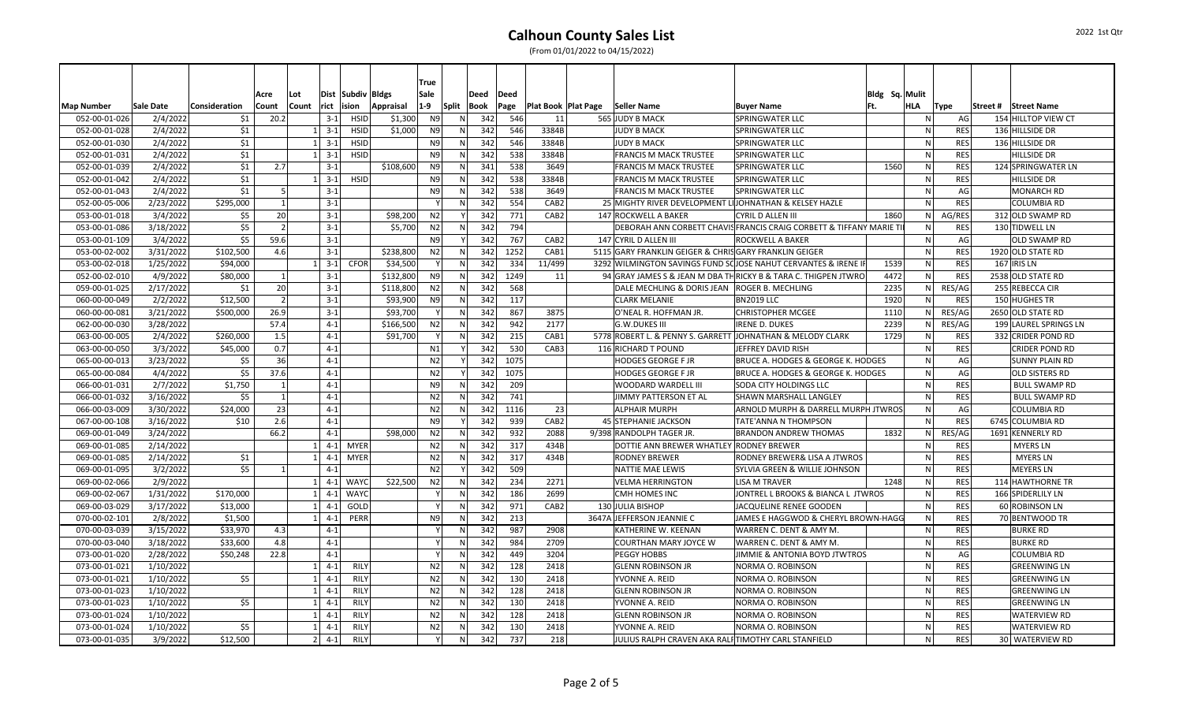|                   |           |               |       |                 |                           |                   |           | True           |              |      |      |                              |                                                                |                                                                    |                |              |            |          |                       |
|-------------------|-----------|---------------|-------|-----------------|---------------------------|-------------------|-----------|----------------|--------------|------|------|------------------------------|----------------------------------------------------------------|--------------------------------------------------------------------|----------------|--------------|------------|----------|-----------------------|
|                   |           |               | Acre  | Lot             |                           | Dist Subdiv Bldgs |           | Sale           |              | Deed | Deed |                              |                                                                |                                                                    | Bldg Sq. Mulit |              |            |          |                       |
| <b>Map Number</b> | Sale Date | Consideration | Count | Count           | rict                      | ision             | Appraisal | $1-9$          | Split        | Book | Page | <b>Plat Book   Plat Page</b> | Seller Name                                                    | <b>Buyer Name</b>                                                  | Ft.            | <b>HLA</b>   | Type       | Street # | <b>Street Name</b>    |
| 052-00-01-026     | 2/4/2022  | \$1           | 20.2  |                 | $3-1$                     | <b>HSID</b>       | \$1,300   | N9             | N            | 342  | 546  | 11                           | 565 JUDY B MACK                                                | <b>SPRINGWATER LLC</b>                                             |                | ΝI           | AG         |          | 154 HILLTOP VIEW CT   |
| 052-00-01-028     | 2/4/2022  | \$1           |       |                 | $3 - 1$                   | <b>HSID</b>       | \$1,000   | N9             | N            | 342  | 546  | 3384B                        | <b>JUDY B MACK</b>                                             | <b>SPRINGWATER LLC</b>                                             |                | $\mathsf{N}$ | <b>RES</b> |          | 136 HILLSIDE DR       |
| 052-00-01-030     | 2/4/2022  | \$1           |       |                 | $1 \ 3 - 1$               | <b>HSID</b>       |           | N <sub>9</sub> | N            | 342  | 546  | 3384B                        | <b>JUDY B MACK</b>                                             | <b>SPRINGWATER LLC</b>                                             |                | $\mathsf{N}$ | <b>RES</b> |          | 136 HILLSIDE DR       |
| 052-00-01-031     | 2/4/2022  | \$1           |       |                 | $3-1$<br>1 <sup>1</sup>   | <b>HSID</b>       |           | N9             | N            | 342  | 538  | 3384B                        | <b>FRANCIS M MACK TRUSTEE</b>                                  | <b>SPRINGWATER LLC</b>                                             |                | <sub>N</sub> | <b>RES</b> |          | <b>HILLSIDE DR</b>    |
| 052-00-01-039     | 2/4/2022  | \$1           | 2.7   |                 | $3 - 1$                   |                   | \$108,600 | N <sub>9</sub> | N            | 341  | 538  | 3649                         | <b>FRANCIS M MACK TRUSTEE</b>                                  | <b>SPRINGWATER LLC</b>                                             | 1560           | N.           | <b>RES</b> |          | 124 SPRINGWATER LN    |
| 052-00-01-042     | 2/4/2022  | \$1           |       |                 | $1 \overline{3} - 1$      | <b>HSID</b>       |           | N <sub>9</sub> | N            | 342  | 538  | 3384B                        | <b>FRANCIS M MACK TRUSTEE</b>                                  | <b>SPRINGWATER LLC</b>                                             |                | <sub>N</sub> | <b>RES</b> |          | <b>HILLSIDE DR</b>    |
| 052-00-01-043     | 2/4/2022  | \$1           |       | 5 <sup>1</sup>  | $3 - 1$                   |                   |           | N9             | N            | 342  | 538  | 3649                         | <b>FRANCIS M MACK TRUSTEE</b>                                  | <b>SPRINGWATER LLC</b>                                             |                | $\mathsf{N}$ | AG         |          | <b>MONARCH RD</b>     |
| 052-00-05-006     | 2/23/2022 | \$295,000     |       | $1\vert$        | $3 - 1$                   |                   |           |                | N            | 342  | 554  | CAB <sub>2</sub>             | 25 MIGHTY RIVER DEVELOPMENT LIJOHNATHAN & KELSEY HAZLE         |                                                                    |                | $\mathsf{N}$ | <b>RES</b> |          | <b>COLUMBIA RD</b>    |
| 053-00-01-018     | 3/4/2022  | \$5           | 20    |                 | $3 - 1$                   |                   | \$98,200  | N2             |              | 342  | 771  | CAB <sub>2</sub>             | 147 ROCKWELL A BAKER                                           | <b>CYRIL D ALLEN III</b>                                           | 1860           | <sub>N</sub> | AG/RES     |          | 312 OLD SWAMP RD      |
| 053-00-01-086     | 3/18/2022 | \$5           |       | $\overline{2}$  | $3 - 1$                   |                   | \$5,700   | N2             |              | 342  | 794  |                              |                                                                | DEBORAH ANN CORBETT CHAVIS FRANCIS CRAIG CORBETT & TIFFANY MARIE T |                | N            | <b>RES</b> |          | 130 TIDWELL LN        |
| 053-00-01-109     | 3/4/2022  | \$5           | 59.6  |                 | $3 - 1$                   |                   |           | N <sub>9</sub> |              | 342  | 767  | CAB <sub>2</sub>             | 147 CYRIL D ALLEN III                                          | <b>ROCKWELL A BAKER</b>                                            |                | N            | AG         |          | <b>OLD SWAMP RD</b>   |
| 053-00-02-002     | 3/31/2022 | \$102,500     | 4.6   |                 | $3 - 1$                   |                   | \$238,800 | N2             | N            | 342  | 1252 | CAB1                         | 5115 GARY FRANKLIN GEIGER & CHRIS GARY FRANKLIN GEIGER         |                                                                    |                | N.           | <b>RES</b> |          | 1920 OLD STATE RD     |
| 053-00-02-018     | 1/25/2022 | \$94,000      |       |                 | $1 \ 3 - 1$               | <b>CFOR</b>       | \$34,500  | Y              | N            | 342  | 334  | 11/499                       | 3292 WILMINGTON SAVINGS FUND SCIOSE NAHUT CERVANTES & IRENE I  |                                                                    | 1539           | N            | <b>RES</b> |          | $167$ IRIS LN         |
| 052-00-02-010     | 4/9/2022  | \$80,000      |       | $\mathbf{1}$    | $3 - 1$                   |                   | \$132,800 | N9             | N            | 342  | 1249 | 11                           | 94 GRAY JAMES S & JEAN M DBA THRICKY B & TARA C. THIGPEN JTWRC |                                                                    | 4472           | N.           | <b>RES</b> |          | 2538 OLD STATE RD     |
| 059-00-01-025     | 2/17/2022 | \$1           | 20    |                 | $3-1$                     |                   | \$118,800 | N2             | N            | 342  | 568  |                              | DALE MECHLING & DORIS JEAN   ROGER B. MECHLING                 |                                                                    | 2235           | ΝI           | RES/AG     |          | 255 REBECCA CIR       |
| 060-00-00-049     | 2/2/2022  | \$12,500      |       | 2               | $3 - 1$                   |                   | \$93,900  | N9             | N.           | 342  | 117  |                              | <b>CLARK MELANIE</b>                                           | BN2019 LLC                                                         | 1920           | N            | <b>RES</b> |          | 150 HUGHES TR         |
| 060-00-00-081     | 3/21/2022 | \$500,000     | 26.9  |                 | $3-1$                     |                   | \$93,700  | $\mathsf{v}$   | N            | 342  | 867  | 3875                         | O'NEAL R. HOFFMAN JR.                                          | <b>CHRISTOPHER MCGEE</b>                                           | 1110           | N            | RES/AG     |          | 2650 OLD STATE RD     |
| 062-00-00-030     | 3/28/2022 |               | 57.4  |                 | $4 - 1$                   |                   | \$166,500 | N2             | N            | 342  | 942  | 2177                         | <b>G.W.DUKES III</b>                                           | <b>IRENE D. DUKES</b>                                              | 2239           | ΝI           | RES/AG     |          | 199 LAUREL SPRINGS LN |
| 063-00-00-005     | 2/4/2022  | \$260,000     | 1.5   |                 | $4 - 1$                   |                   | \$91,700  |                |              | 342  | 215  | CAB1                         | 5778 ROBERT L. & PENNY S. GARRETT JOHNATHAN & MELODY CLARK     |                                                                    | 1729           | $\mathsf{N}$ | <b>RES</b> |          | 332 CRIDER POND RD    |
| 063-00-00-050     | 3/3/2022  | \$45,000      | 0.7   |                 | $4 - 1$                   |                   |           | N1             |              | 342  | 530  | CAB3                         | 116 RICHARD T POUND                                            | JEFFREY DAVID RISH                                                 |                | $\mathsf{N}$ | <b>RES</b> |          | <b>CRIDER POND RD</b> |
| 065-00-00-013     | 3/23/2022 | \$5           | 36    |                 | $4 - 1$                   |                   |           | N2             |              | 342  | 1075 |                              | <b>HODGES GEORGE F JR</b>                                      | <b>BRUCE A. HODGES &amp; GEORGE K. HODGES</b>                      |                | -N.          | AG         |          | <b>SUNNY PLAIN RD</b> |
| 065-00-00-084     | 4/4/2022  | \$5           | 37.6  |                 | $4 - 1$                   |                   |           | N2             |              | 342  | 1075 |                              | <b>HODGES GEORGE F JR</b>                                      | <b>BRUCE A. HODGES &amp; GEORGE K. HODGES</b>                      |                | $\mathsf{N}$ | AG         |          | <b>OLD SISTERS RD</b> |
| 066-00-01-031     | 2/7/2022  | \$1,750       |       | 1               | $4 - 1$                   |                   |           | N <sub>9</sub> | $\mathsf{N}$ | 342  | 209  |                              | WOODARD WARDELL III                                            | <b>SODA CITY HOLDINGS LLC</b>                                      |                | N.           | <b>RES</b> |          | <b>BULL SWAMP RD</b>  |
| 066-00-01-032     | 3/16/2022 | \$5           |       | $1\overline{ }$ | $4-1$                     |                   |           | N2             | N            | 342  | 741  |                              | JIMMY PATTERSON ET AL                                          | SHAWN MARSHALL LANGLEY                                             |                | <sub>N</sub> | <b>RES</b> |          | <b>BULL SWAMP RD</b>  |
| 066-00-03-009     | 3/30/2022 | \$24,000      | 23    |                 | $4 - 1$                   |                   |           | N2             | N            | 342  | 1116 | 23                           | <b>ALPHAIR MURPH</b>                                           | <b>ARNOLD MURPH &amp; DARRELL MURPH JTWROS</b>                     |                | $\mathsf{N}$ | AG         |          | <b>COLUMBIA RD</b>    |
| 067-00-00-108     | 3/16/2022 | \$10          | 2.6   |                 | $4 - 1$                   |                   |           | N <sub>9</sub> |              | 342  | 939  | CAB <sub>2</sub>             | 45 STEPHANIE JACKSON                                           | <b>TATE'ANNA N THOMPSON</b>                                        |                | N            | <b>RES</b> |          | 6745 COLUMBIA RD      |
| 069-00-01-049     | 3/24/2022 |               | 66.2  |                 | $4 - 1$                   |                   | \$98,000  | N2             | N            | 342  | 932  | 2088                         | 9/398 RANDOLPH TAGER JR.                                       | BRANDON ANDREW THOMAS                                              | 1832           | ΝI           | RES/AG     |          | 1691 KENNERLY RD      |
| 069-00-01-085     | 2/14/2022 |               |       |                 | $4 - 1$<br>$\mathbf{1}$   | <b>MYER</b>       |           | N2             | N            | 342  | 317  | 434B                         | DOTTIE ANN BREWER WHATLEY RODNEY BREWER                        |                                                                    |                | N            | <b>RES</b> |          | <b>MYERS LN</b>       |
| 069-00-01-085     | 2/14/2022 | \$1           |       |                 | $4 - 1$                   | <b>MYER</b>       |           | N2             | N            | 342  | 317  | 434B                         | <b>RODNEY BREWER</b>                                           | <b>RODNEY BREWER&amp; LISA A JTWROS</b>                            |                | N            | <b>RES</b> |          | <b>MYERS LN</b>       |
| 069-00-01-095     | 3/2/2022  | \$5           |       | $1\vert$        | $4 - 1$                   |                   |           | N2             |              | 342  | 509  |                              | <b>NATTIE MAE LEWIS</b>                                        | SYLVIA GREEN & WILLIE JOHNSON                                      |                | -N.          | <b>RES</b> |          | <b>MEYERS LN</b>      |
| 069-00-02-066     | 2/9/2022  |               |       |                 | 1<br>$4 - 1$              | <b>WAYC</b>       | \$22,500  | N2             | N            | 342  | 234  | 2271                         | <b>VELMA HERRINGTON</b>                                        | <b>LISA M TRAVER</b>                                               | 1248           | -N.          | <b>RES</b> |          | 114 HAWTHORNE TR      |
| 069-00-02-067     | 1/31/2022 | \$170,000     |       |                 | 1<br>$4-1$                | <b>WAYC</b>       |           | Y              | $\mathsf{N}$ | 342  | 186  | 2699                         | <b>CMH HOMES INC</b>                                           | JONTREL L BROOKS & BIANCA L JTWROS                                 |                | N.           | <b>RES</b> |          | 166 SPIDERLILY LN     |
| 069-00-03-029     | 3/17/2022 | \$13,000      |       |                 | 1<br>4-1                  | GOLD              |           | Y              | N            | 342  | 971  | CAB <sub>2</sub>             | 130 JULIA BISHOP                                               | JACQUELINE RENEE GOODEN                                            |                | <sub>N</sub> | <b>RES</b> |          | 60 ROBINSON LN        |
| 070-00-02-101     | 2/8/2022  | \$1,500       |       |                 | $4-1$<br>1 <sup>1</sup>   | PERR              |           | N <sub>9</sub> | N            | 342  | 213  |                              | 3647A JEFFERSON JEANNIE C                                      | JAMES E HAGGWOD & CHERYL BROWN-HAGG                                |                | -N.          | <b>RES</b> |          | 70 BENTWOOD TR        |
| 070-00-03-039     | 3/15/2022 | \$33,970      | 4.3   |                 | $4 - 1$                   |                   |           |                | N            | 342  | 987  | 2908                         | KATHERINE W. KEENAN                                            | WARREN C. DENT & AMY M                                             |                | $\mathsf{N}$ | <b>RES</b> |          | <b>BURKE RD</b>       |
| 070-00-03-040     | 3/18/2022 | \$33,600      | 4.8   |                 | $4 - 1$                   |                   |           | Y              | N            | 342  | 984  | 2709                         | <b>COURTHAN MARY JOYCE W</b>                                   | WARREN C. DENT & AMY M.                                            |                | $\mathsf{N}$ | <b>RES</b> |          | <b>BURKE RD</b>       |
| 073-00-01-020     | 2/28/2022 | \$50,248      | 22.8  |                 | $4 - 1$                   |                   |           |                |              | 342  | 449  | 3204                         | <b>PEGGY HOBBS</b>                                             | JIMMIE & ANTONIA BOYD JTWTROS                                      |                | N            | AG         |          | <b>COLUMBIA RD</b>    |
| 073-00-01-021     | 1/10/2022 |               |       |                 | $\mathbf{1}$<br>$4 - 1$   | <b>RILY</b>       |           | N2             | N            | 342  | 128  | 2418                         | <b>GLENN ROBINSON JR</b>                                       | NORMA O. ROBINSON                                                  |                | $\mathsf{N}$ | <b>RES</b> |          | <b>GREENWING LN</b>   |
| 073-00-01-021     | 1/10/2022 | \$5           |       |                 | $1\vert$<br>$4-1$         | <b>RILY</b>       |           | N2             | N            | 342  | 130  | 2418                         | YVONNE A. REID                                                 | NORMA O. ROBINSON                                                  |                | -N.          | <b>RES</b> |          | <b>GREENWING LN</b>   |
| 073-00-01-023     | 1/10/2022 |               |       |                 | $4-1$<br>$1\vert$         | <b>RILY</b>       |           | N2             | N            | 342  | 128  | 2418                         | <b>GLENN ROBINSON JR</b>                                       | <b>NORMA O. ROBINSON</b>                                           |                | $\mathsf{N}$ | <b>RES</b> |          | <b>GREENWING LN</b>   |
| 073-00-01-023     | 1/10/2022 | \$5           |       |                 | 1<br>$4 - 1$              | <b>RILY</b>       |           | N2             | $\mathsf{N}$ | 342  | 130  | 2418                         | YVONNE A. REID                                                 | NORMA O. ROBINSON                                                  |                | N.           | <b>RES</b> |          | <b>GREENWING LN</b>   |
| 073-00-01-024     | 1/10/2022 |               |       |                 | $4-1$<br>$1\vert$         | <b>RILY</b>       |           | N2             |              | 342  | 128  | 2418                         | <b>GLENN ROBINSON JR</b>                                       | NORMA O. ROBINSON                                                  |                | <sub>N</sub> | <b>RES</b> |          | <b>WATERVIEW RD</b>   |
| 073-00-01-024     | 1/10/2022 | \$5           |       |                 | $1\vert$<br>$4-1$         | <b>RILY</b>       |           | N2             | N            | 342  | 130  | 2418                         | YVONNE A. REID                                                 | NORMA O. ROBINSON                                                  |                | $\mathsf{N}$ | <b>RES</b> |          | <b>WATERVIEW RD</b>   |
| 073-00-01-035     | 3/9/2022  | \$12,500      |       |                 | $4 - 1$<br>2 <sup>1</sup> | <b>RILY</b>       |           |                |              | 342  | 737  | 218                          | JULIUS RALPH CRAVEN AKA RALITIMOTHY CARL STANFIELD             |                                                                    |                | N            | <b>RES</b> |          | 30 WATERVIEW RD       |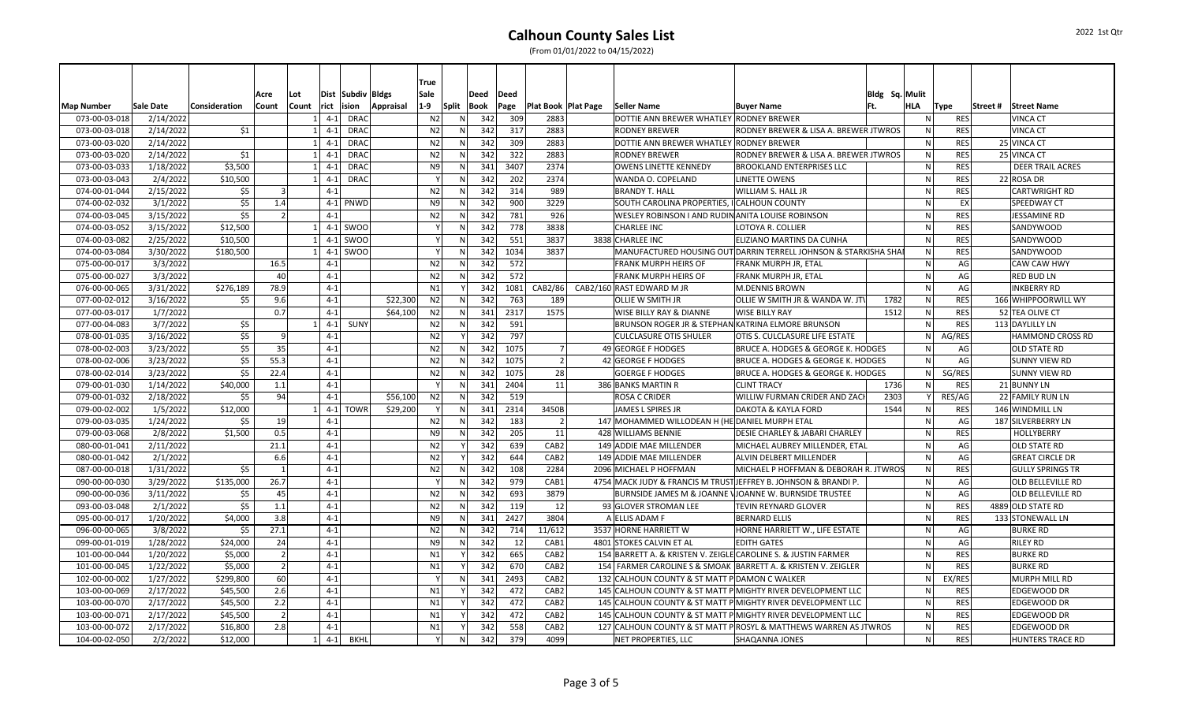2022 1st Qtr

(From 01/01/2022 to 04/15/2022)

|                                    |                        |               |                |             |                 |                      |           | <b>True</b>             |                 |      |             |                                      |                                                                |                                                                  |                |              |                    |          |                                       |
|------------------------------------|------------------------|---------------|----------------|-------------|-----------------|----------------------|-----------|-------------------------|-----------------|------|-------------|--------------------------------------|----------------------------------------------------------------|------------------------------------------------------------------|----------------|--------------|--------------------|----------|---------------------------------------|
|                                    |                        |               | Acre           | Lot         |                 | Dist Subdiv Bldgs    |           | Sale                    |                 | Deed | Deed        |                                      |                                                                |                                                                  | Bldg Sq. Mulit |              |                    |          |                                       |
| <b>Map Number</b><br>073-00-03-018 | Sale Date<br>2/14/2022 | Consideration | Count          | Count<br>-1 | rict<br>$4 - 1$ | ision<br><b>DRAC</b> | Appraisal | $1-9$<br>N <sub>2</sub> | Split Book<br>N | 342  | Page<br>309 | <b>Plat Book   Plat Page</b><br>2883 | <b>Seller Name</b><br>DOTTIE ANN BREWER WHATLEY RODNEY BREWER  | <b>Buyer Name</b>                                                | Ft.            | HLA<br>N.    | Type<br><b>RES</b> | Street # | <b>Street Name</b><br><b>VINCA CT</b> |
| 073-00-03-018                      | 2/14/2022              | \$1           |                |             | $4 - 1$         | <b>DRAC</b>          |           | N <sub>2</sub>          | ${\sf N}$       | 342  | 317         | 2883                                 | <b>RODNEY BREWER</b>                                           | RODNEY BREWER & LISA A. BREWER JTWROS                            |                | N            | <b>RES</b>         |          | <b>VINCA CT</b>                       |
| 073-00-03-020                      | 2/14/2022              |               |                | -1          | $4 - 1$         | <b>DRAC</b>          |           | N <sub>2</sub>          | N               | 342  | 309         | 2883                                 | DOTTIE ANN BREWER WHATLEY RODNEY BREWER                        |                                                                  |                | <sub>N</sub> | <b>RES</b>         |          | 25 VINCA CT                           |
| 073-00-03-020                      | 2/14/2022              | \$1           |                |             | $4-1$           | <b>DRAC</b>          |           | N <sub>2</sub>          | N               | 342  | 322         | 2883                                 | <b>RODNEY BREWER</b>                                           | RODNEY BREWER & LISA A. BREWER JTWROS                            |                | $\mathsf{N}$ | <b>RES</b>         |          | 25 VINCA CT                           |
| 073-00-03-033                      | 1/18/2022              | \$3,500       |                | $\mathbf 1$ | $4-1$           | <b>DRAC</b>          |           | N <sub>9</sub>          | N               | 341  | 3407        | 2374                                 | <b>OWENS LINETTE KENNEDY</b>                                   | <b>BROOKLAND ENTERPRISES LLC</b>                                 |                | $\mathsf{N}$ | <b>RES</b>         |          | <b>DEER TRAIL ACRES</b>               |
| 073-00-03-043                      | 2/4/2022               | \$10,500      |                |             | $4 - 1$         | <b>DRAC</b>          |           |                         |                 | 342  | 202         | 2374                                 | WANDA O. COPELAND                                              | <b>LINETTE OWENS</b>                                             |                | $\mathsf{N}$ | <b>RES</b>         |          | 22 ROSA DR                            |
| 074-00-01-044                      | 2/15/2022              | \$5           |                |             | $4 - 1$         |                      |           | N <sub>2</sub>          | N               | 342  | 314         | 989                                  | <b>BRANDY T. HALL</b>                                          | WILLIAM S. HALL JR                                               |                | N            | <b>RES</b>         |          | CARTWRIGHT RD                         |
| 074-00-02-032                      | 3/1/2022               | \$5           | 1.4            |             |                 | $4-1$ PNWD           |           | N9                      | N               | 342  | 900         | 3229                                 | SOUTH CAROLINA PROPERTIES, I CALHOUN COUNTY                    |                                                                  |                | N            | EX                 |          | <b>SPEEDWAY CT</b>                    |
| 074-00-03-045                      | 3/15/2022              | \$5           | $\overline{2}$ |             | $4 - 1$         |                      |           | N <sub>2</sub>          | ${\sf N}$       | 342  | 781         | 926                                  | WESLEY ROBINSON I AND RUDIN ANITA LOUISE ROBINSON              |                                                                  |                | $\mathsf{N}$ | <b>RES</b>         |          | JESSAMINE RD                          |
| 074-00-03-052                      |                        | \$12,500      |                |             |                 | 4-1 SWOO             |           |                         | ${\sf N}$       | 342  | 778         | 3838                                 | <b>CHARLEE INC</b>                                             | LOTOYA R. COLLIER                                                |                | $\mathsf{N}$ | <b>RES</b>         |          |                                       |
| 074-00-03-082                      | 3/15/2022              |               |                |             |                 | 4-1 SWOO             |           |                         | N               | 342  |             | 3837                                 | 3838 CHARLEE INC                                               |                                                                  |                | $\mathsf{N}$ | <b>RES</b>         |          | SANDYWOOD                             |
|                                    | 2/25/2022              | \$10,500      |                |             |                 |                      |           |                         |                 |      | 551         |                                      |                                                                | ELIZIANO MARTINS DA CUNHA                                        |                |              |                    |          | <b>SANDYWOOD</b>                      |
| 074-00-03-084                      | 3/30/2022              | \$180,500     |                |             |                 | $4-1$ SWOO           |           |                         | N               | 342  | 1034        | 3837                                 |                                                                | MANUFACTURED HOUSING OUT DARRIN TERRELL JOHNSON & STARKISHA SHAI |                | $\mathsf{N}$ | <b>RES</b>         |          | SANDYWOOD                             |
| 075-00-00-017                      | 3/3/2022               |               | 16.5           |             | $4-1$           |                      |           | N <sub>2</sub>          | N               | 342  | 572         |                                      | <b>FRANK MURPH HEIRS OF</b>                                    | FRANK MURPH JR, ETAL                                             |                | $\mathsf{N}$ | AG                 |          | <b>CAW CAW HWY</b>                    |
| 075-00-00-027                      | 3/3/2022               |               | 40             |             | $4-1$           |                      |           | N <sub>2</sub>          | N               | 342  | 572         |                                      | <b>FRANK MURPH HEIRS OF</b>                                    | FRANK MURPH JR, ETAL                                             |                | $\mathsf{N}$ | AG                 |          | <b>RED BUD LN</b>                     |
| 076-00-00-065                      | 3/31/2022              | \$276,189     | 78.9           |             | $4 - 1$         |                      |           | N <sub>1</sub>          |                 | 342  | 1081        | CAB2/86                              | CAB2/160 RAST EDWARD M JR                                      | <b>M.DENNIS BROWN</b>                                            |                | N            | AGI                |          | <b>INKBERRY RD</b>                    |
| 077-00-02-012                      | 3/16/2022              | \$5           | 9.6            |             | $4 - 1$         |                      | \$22,300  | N <sub>2</sub>          | N               | 342  | 763         | 189                                  | <b>OLLIE W SMITH JR</b>                                        | OLLIE W SMITH JR & WANDA W. JT                                   | 1782           | N            | <b>RES</b>         |          | 166 WHIPPOORWILL WY                   |
| 077-00-03-017                      | 1/7/2022               |               | 0.7            |             | $4 - 1$         |                      | \$64,100  | N <sub>2</sub>          | ${\sf N}$       | 341  | 2317        | 1575                                 | <b>WISE BILLY RAY &amp; DIANNE</b>                             | <b>WISE BILLY RAY</b>                                            | 1512           | $\mathsf{N}$ | <b>RES</b>         |          | 52 TEA OLIVE CT                       |
| 077-00-04-083                      | 3/7/2022               | \$5           |                |             | $4 - 1$         | SUNY                 |           | N <sub>2</sub>          | N               | 342  | 591         |                                      | BRUNSON ROGER JR & STEPHAN KATRINA ELMORE BRUNSON              |                                                                  |                | $\mathsf{N}$ | <b>RES</b>         |          | 113 DAYLILLY LN                       |
| 078-00-01-035                      | 3/16/2022              | \$5           | 9              |             | $4-1$           |                      |           | N <sub>2</sub>          | Y               | 342  | 797         |                                      | <b>CULCLASURE OTIS SHULER</b>                                  | OTIS S. CULCLASURE LIFE ESTATE                                   |                | N            | AG/RES             |          | <b>HAMMOND CROSS RD</b>               |
| 078-00-02-003                      | 3/23/2022              | \$5           | 35             |             | $4 - 1$         |                      |           | N <sub>2</sub>          | N               | 342  | 1075        | $\overline{7}$                       | 49 GEORGE F HODGES                                             | BRUCE A. HODGES & GEORGE K. HODGES                               |                | <sub>N</sub> | AG                 |          | <b>OLD STATE RD</b>                   |
| 078-00-02-006                      | 3/23/2022              | \$5           | 55.3           |             | $4-1$           |                      |           | N <sub>2</sub>          | N               | 342  | 1075        | $\overline{2}$                       | 42 GEORGE F HODGES                                             | BRUCE A. HODGES & GEORGE K. HODGES                               |                | <sub>N</sub> | AG                 |          | <b>SUNNY VIEW RD</b>                  |
| 078-00-02-014                      | 3/23/2022              | \$5           | 22.4           |             | $4 - 1$         |                      |           | N <sub>2</sub>          | N               | 342  | 1075        | 28                                   | <b>GOERGE F HODGES</b>                                         | BRUCE A. HODGES & GEORGE K. HODGES                               |                | N            | SG/RES             |          | <b>SUNNY VIEW RD</b>                  |
| 079-00-01-030                      | 1/14/2022              | \$40,000      | 1.1            |             | $4 - 1$         |                      |           |                         | N               | 341  | 2404        | 11                                   | 386 BANKS MARTIN R                                             | <b>CLINT TRACY</b>                                               | 1736           | <sub>N</sub> | <b>RES</b>         |          | 21 BUNNY LN                           |
| 079-00-01-032                      | 2/18/2022              | \$5           | 94             |             | $4 - 1$         |                      | \$56,100  | N <sub>2</sub>          | ${\sf N}$       | 342  | 519         |                                      | <b>ROSA C CRIDER</b>                                           | WILLIW FURMAN CRIDER AND ZAC                                     | 2303           |              | RES/AG             |          | 22 FAMILY RUN LN                      |
| 079-00-02-002                      | 1/5/2022               | \$12,000      |                |             | $4 - 1$         | <b>TOWR</b>          | \$29,200  |                         | N               | 341  | 2314        | 3450B                                | JAMES L SPIRES JR                                              | DAKOTA & KAYLA FORD                                              | 1544           | N            | RES                |          | 146 WINDMILL LN                       |
| 079-00-03-035                      | 1/24/2022              | \$5           | 19             |             | $4-1$           |                      |           | N <sub>2</sub>          | $\mathsf{N}$    | 342  | 183         | $\overline{2}$                       | 147 MOHAMMED WILLODEAN H (HE DANIEL MURPH ETAL                 |                                                                  |                | <sub>N</sub> | AG                 |          | 187 SILVERBERRY LN                    |
| 079-00-03-068                      | 2/8/2022               | \$1,500       | 0.5            |             | $4 - 1$         |                      |           | N <sub>9</sub>          | ${\sf N}$       | 342  | 205         | 11                                   | 428 WILLIAMS BENNIE                                            | DESIE CHARLEY & JABARI CHARLEY                                   |                | $\mathsf{N}$ | <b>RES</b>         |          | HOLLYBERRY                            |
| 080-00-01-041                      | 2/11/2022              |               | 21.1           |             | $4-1$           |                      |           | N <sub>2</sub>          | Y               | 342  | 639         | CAB <sub>2</sub>                     | 149 ADDIE MAE MILLENDER                                        | MICHAEL AUBREY MILLENDER, ETAL                                   |                | <sub>N</sub> | AG                 |          | <b>OLD STATE RD</b>                   |
| 080-00-01-042                      | 2/1/2022               |               | 6.6            |             | $4 - 1$         |                      |           | N <sub>2</sub>          |                 | 342  | 644         | CAB <sub>2</sub>                     | 149 ADDIE MAE MILLENDER                                        | ALVIN DELBERT MILLENDER                                          |                | $\mathsf{N}$ | AG                 |          | <b>GREAT CIRCLE DR</b>                |
| 087-00-00-018                      | 1/31/2022              | \$5           | $\mathbf{1}$   |             | $4 - 1$         |                      |           | N <sub>2</sub>          | N               | 342  | 108         | 2284                                 | 2096 MICHAEL P HOFFMAN                                         | MICHAEL P HOFFMAN & DEBORAH R. JTWROS                            |                | N.           | <b>RES</b>         |          | <b>GULLY SPRINGS TR</b>               |
| 090-00-00-030                      | 3/29/2022              | \$135,000     | 26.7           |             | $4 - 1$         |                      |           |                         | N               | 342  | 979         | CAB1                                 |                                                                | 4754 MACK JUDY & FRANCIS M TRUST JEFFREY B. JOHNSON & BRANDI P.  |                | $\mathsf{N}$ | AG                 |          | <b>OLD BELLEVILLE RD</b>              |
| 090-00-00-036                      | 3/11/2022              | \$5           | 45             |             | $4 - 1$         |                      |           | N <sub>2</sub>          | N               | 342  | 693         | 3879                                 |                                                                | BURNSIDE JAMES M & JOANNE VJOANNE W. BURNSIDE TRUSTEE            |                | $\mathsf{N}$ | AG                 |          | <b>OLD BELLEVILLE RD</b>              |
| 093-00-03-048                      | 2/1/2022               | \$5           | 1.1            |             | $4 - 1$         |                      |           | N <sub>2</sub>          |                 | 342  | 119         | 12                                   | 93 GLOVER STROMAN LEE                                          | TEVIN REYNARD GLOVER                                             |                | N            | <b>RES</b>         |          | 4889 OLD STATE RD                     |
| 095-00-00-017                      | 1/20/2022              | \$4,000       | 3.8            |             | $4 - 1$         |                      |           | N <sub>9</sub>          | N               | 341  | 2427        | 3804                                 | A ELLIS ADAM F                                                 | <b>BERNARD ELLIS</b>                                             |                | $\mathsf{N}$ | <b>RES</b>         |          | 133 STONEWALL LN                      |
| 096-00-00-065                      | 3/8/2022               | \$5           | 27.1           |             | $4 - 1$         |                      |           | N <sub>2</sub>          | $\mathsf{N}$    | 342  | 714         | 11/612                               | 3537 HORNE HARRIETT W                                          | HORNE HARRIETT W., LIFE ESTATE                                   |                | <sub>N</sub> | AG                 |          | <b>BURKE RD</b>                       |
| 099-00-01-019                      | 1/28/2022              | \$24,000      | 24             |             | $4-1$           |                      |           | N <sub>9</sub>          | N               | 342  | 12          | CAB1                                 | 4801 STOKES CALVIN ET AL                                       | <b>EDITH GATES</b>                                               |                | $\mathsf{N}$ | AG                 |          | <b>RILEY RD</b>                       |
| 101-00-00-044                      | 1/20/2022              | \$5,000       | $\overline{2}$ |             | $4 - 1$         |                      |           | N1                      |                 | 342  | 665         | CAB <sub>2</sub>                     | 154 BARRETT A. & KRISTEN V. ZEIGLE CAROLINE S. & JUSTIN FARMER |                                                                  |                | N            | <b>RES</b>         |          | <b>BURKE RD</b>                       |
| 101-00-00-045                      | 1/22/2022              | \$5,000       | $\overline{2}$ |             | $4-1$           |                      |           | N1                      |                 | 342  | 670         | CAB <sub>2</sub>                     |                                                                | 154 FARMER CAROLINE S & SMOAK BARRETT A. & KRISTEN V. ZEIGLER    |                | $\mathsf{N}$ | <b>RES</b>         |          | <b>BURKE RD</b>                       |
| 102-00-00-002                      | 1/27/2022              | \$299,800     | 60             |             | $4 - 1$         |                      |           |                         | N               | 341  | 2493        | CAB <sub>2</sub>                     | 132 CALHOUN COUNTY & ST MATT P DAMON C WALKER                  |                                                                  |                | N            | EX/RES             |          | MURPH MILL RD                         |
| 103-00-00-069                      | 2/17/2022              | \$45,500      | 2.6            |             | $4-1$           |                      |           | N1                      |                 | 342  | 472         | CAB <sub>2</sub>                     |                                                                | 145 CALHOUN COUNTY & ST MATT P MIGHTY RIVER DEVELOPMENT LLC      |                | $\mathsf{N}$ | <b>RES</b>         |          | <b>EDGEWOOD DR</b>                    |
| 103-00-00-070                      | 2/17/2022              | \$45,500      | 2.2            |             | $4 - 1$         |                      |           | N1                      |                 | 342  | 472         | CAB <sub>2</sub>                     |                                                                | 145 CALHOUN COUNTY & ST MATT P MIGHTY RIVER DEVELOPMENT LLC      |                | $\mathsf{N}$ | <b>RES</b>         |          | <b>EDGEWOOD DR</b>                    |
| 103-00-00-071                      | 2/17/2022              | \$45,500      |                |             | $4 - 1$         |                      |           | N1                      |                 | 342  | 472         | CAB <sub>2</sub>                     |                                                                | 145 CALHOUN COUNTY & ST MATT P MIGHTY RIVER DEVELOPMENT LLC      |                | N            | <b>RES</b>         |          | EDGEWOOD DR                           |
| 103-00-00-072                      | 2/17/2022              | \$16,800      | 2.8            |             | $4 - 1$         |                      |           | N1                      |                 | 342  | 558         | CAB <sub>2</sub>                     |                                                                | 127 CALHOUN COUNTY & ST MATT P ROSYL & MATTHEWS WARREN AS JTWROS |                | $\mathsf{N}$ | <b>RES</b>         |          | <b>EDGEWOOD DR</b>                    |
|                                    |                        |               |                |             |                 |                      |           |                         |                 |      |             |                                      |                                                                |                                                                  |                |              |                    |          |                                       |
| 104-00-02-050                      | 2/2/2022               | \$12,000      |                | 11          | $4-1$           | <b>BKHL</b>          |           |                         | N               | 342  | 379         | 4099                                 | <b>NET PROPERTIES, LLC</b>                                     | SHAQANNA JONES                                                   |                | N            | <b>RES</b>         |          | <b>HUNTERS TRACE RD</b>               |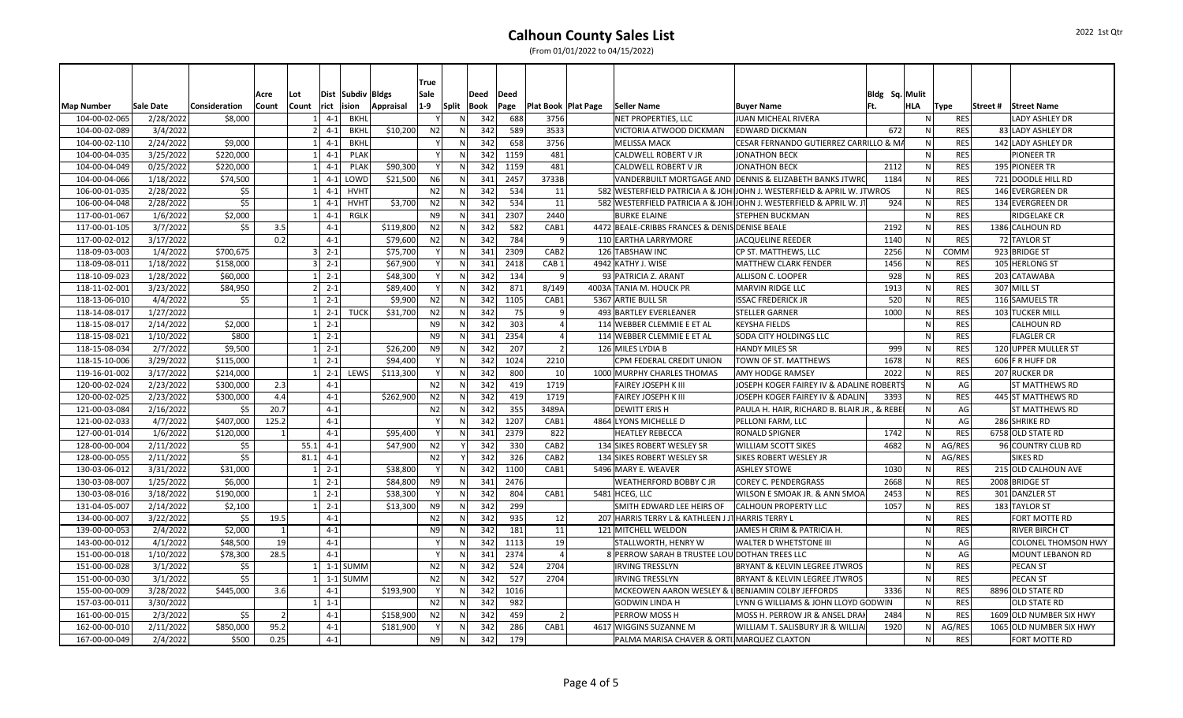### **Calhoun County Sales List** (From 01/01/2022 to 04/15/2022)

|                   |           |               | Acre          | Lot            |                        | Dist Subdiv Bldgs | True<br>Sale   |       | Deed | Deed |                              |                                                                        |                                                         | Bldg Sq. Mulit |              |            |                            |
|-------------------|-----------|---------------|---------------|----------------|------------------------|-------------------|----------------|-------|------|------|------------------------------|------------------------------------------------------------------------|---------------------------------------------------------|----------------|--------------|------------|----------------------------|
| <b>Map Number</b> | Sale Date | Consideration | Count         | Count<br>rict  | ision                  | Appraisal         | $1-9$          | Split | Book | Page | <b>Plat Book   Plat Page</b> | Seller Name                                                            | <b>Buyer Name</b>                                       | Ft.            | HLA          | Type       | Street #   Street Name     |
| 104-00-02-065     | 2/28/2022 | \$8,000       |               | $\mathbf{1}$   | $4 - 1$<br><b>BKHL</b> |                   |                | N.    | 342  | 688  | 3756                         | NET PROPERTIES, LLC                                                    | JUAN MICHEAL RIVERA                                     |                | -NI          | <b>RES</b> | LADY ASHLEY DR             |
| 104-00-02-089     | 3/4/2022  |               |               | $\overline{2}$ | $4 - 1$<br><b>BKHL</b> | \$10,200          | N <sub>2</sub> | N     | 342  | 589  | 3533                         | VICTORIA ATWOOD DICKMAN                                                | <b>EDWARD DICKMAN</b>                                   | 672            | N            | <b>RES</b> | 83 LADY ASHLEY DR          |
| 104-00-02-110     | 2/24/2022 | \$9,000       |               | $\mathbf{1}$   | $4-1$<br><b>BKHL</b>   |                   |                | N     | 342  | 658  | 3756                         | <b>MELISSA MACK</b>                                                    | CESAR FERNANDO GUTIERREZ CARRILLO & MA                  |                | N            | <b>RES</b> | 142 LADY ASHLEY DR         |
| 104-00-04-035     | 3/25/2022 | \$220,000     |               | $1\vert$       | $4-1$<br><b>PLAK</b>   |                   |                | N     | 342  | 1159 | 481                          | CALDWELL ROBERT V JR                                                   | <b>JONATHON BECK</b>                                    |                | N            | <b>RES</b> | PIONEER TR                 |
| 104-00-04-049     | 0/25/2022 | \$220,000     |               | 1 <sup>1</sup> | $4-1$<br><b>PLAK</b>   | \$90,300          |                | N     | 342  | 1159 | 481                          | CALDWELL ROBERT V JR                                                   | <b>JONATHON BECK</b>                                    | 2112           | N            | <b>RES</b> | 195 PIONEER TR             |
| 104-00-04-066     | 1/18/2022 | \$74,500      |               |                | LOWD<br>$4-1$          | \$21,500          | N <sub>6</sub> | N     | 341  | 2457 | 3733B                        |                                                                        | VANDERBUILT MORTGAGE AND DENNIS & ELIZABETH BANKS JTWRC | 1184           |              | <b>RES</b> | 721 DOODLE HILL RD         |
| 106-00-01-035     | 2/28/2022 | \$5           |               |                | $4 - 1$<br><b>HVHT</b> |                   | N <sub>2</sub> | N     | 342  | 534  | 11                           | 582 WESTERFIELD PATRICIA A & JOHIJOHN J. WESTERFIELD & APRIL W. JTWROS |                                                         |                | N            | <b>RES</b> | 146 EVERGREEN DR           |
| 106-00-04-048     | 2/28/2022 | \$5           |               | 1              | $4 - 1$<br><b>HVHT</b> | \$3,700           | N <sub>2</sub> | N     | 342  | 534  | 11                           | 582 WESTERFIELD PATRICIA A & JOHIJOHN J. WESTERFIELD & APRIL W. J1     |                                                         | 924            | N            | <b>RES</b> | 134 EVERGREEN DR           |
| 117-00-01-067     | 1/6/2022  | \$2,000       |               |                | <b>RGLK</b><br>$4 - 1$ |                   | N <sub>9</sub> | N     | 341  | 2307 | 2440                         | <b>BURKE ELAINE</b>                                                    | <b>STEPHEN BUCKMAN</b>                                  |                | N            | <b>RES</b> | <b>RIDGELAKE CR</b>        |
| 117-00-01-105     | 3/7/2022  | \$5           | 3.5           |                | $4 - 1$                | \$119,800         | N <sub>2</sub> | N     | 342  | 582  | CAB1                         | 4472 BEALE-CRIBBS FRANCES & DENIS DENISE BEALE                         |                                                         | 2192           | $\mathsf{N}$ | <b>RES</b> | 1386 CALHOUN RD            |
| 117-00-02-012     | 3/17/2022 |               | 0.2           |                | $4 - 1$                | \$79,600          | N <sub>2</sub> | N     | 342  | 784  | 9                            | 110 EARTHA LARRYMORE                                                   | <b>JACQUELINE REEDER</b>                                | 1140           | N            | <b>RES</b> | 72 TAYLOR ST               |
| 118-09-03-003     | 1/4/2022  | \$700,675     |               | 3              | $2 - 1$                | \$75,700          |                | N     | 341  | 2309 | CAB <sub>2</sub>             | 126 TABSHAW INC                                                        | CP ST. MATTHEWS, LLC                                    | 2256           | N.           | COMM       | 923 BRIDGE ST              |
| 118-09-08-011     | 1/18/2022 | \$158,000     |               | 3 <sup>1</sup> | $2 - 1$                | \$67,900          |                | N     | 341  | 2418 | CAB <sub>1</sub>             | 4942 KATHY J. WISE                                                     | MATTHEW CLARK FENDER                                    | 1456           | ${\sf N}$    | <b>RES</b> | 105 HERLONG ST             |
| 118-10-09-023     | 1/28/2022 | \$60,000      |               | $1 \ 2 - 1$    |                        | \$48,300          |                | N     | 342  | 134  | 9                            | 93 PATRICIA Z. ARANT                                                   | ALLISON C. LOOPER                                       | 928            | N            | <b>RES</b> | 203 CATAWABA               |
| 118-11-02-001     | 3/23/2022 | \$84,950      |               | 2              | $2 - 1$                | \$89,400          |                | N     | 342  | 871  | 8/149                        | 4003A TANIA M. HOUCK PR                                                | <b>MARVIN RIDGE LLC</b>                                 | 1913           | N            | <b>RES</b> | 307 MILL ST                |
| 118-13-06-010     | 4/4/2022  | \$5           |               |                | $2 - 1$                | \$9,900           | N <sub>2</sub> | N     | 342  | 1105 | CAB1                         | 5367 ARTIE BULL SR                                                     | <b>ISSAC FREDERICK JR</b>                               | 520            | N            | <b>RES</b> | 116 SAMUELS TR             |
| 118-14-08-017     | 1/27/2022 |               |               | $1\vert$       | $2 - 1$<br><b>TUCK</b> | \$31,700          | N <sub>2</sub> | N     | 342  | 75   | 9                            | 493 BARTLEY EVERLEANER                                                 | <b>STELLER GARNER</b>                                   | 1000           | N            | <b>RES</b> | 103 TUCKER MILL            |
| 118-15-08-017     | 2/14/2022 | \$2,000       |               | $\mathbf{1}$   | $2 - 1$                |                   | N <sub>9</sub> | N     | 342  | 303  | $\overline{4}$               | 114 WEBBER CLEMMIE E ET AL                                             | <b>KEYSHA FIELDS</b>                                    |                | N            | <b>RES</b> | <b>CALHOUN RD</b>          |
| 118-15-08-021     | 1/10/2022 | \$800         |               | $1\vert$       | $2 - 1$                |                   | N9             | N     | 341  | 2354 | $\overline{4}$               | 114 WEBBER CLEMMIE E ET AL                                             | SODA CITY HOLDINGS LLC                                  |                | ${\sf N}$    | <b>RES</b> | <b>FLAGLER CR</b>          |
| 118-15-08-034     | 2/7/2022  | \$9,500       |               | $1\vert$       | $2 - 1$                | \$26.200          | N <sub>9</sub> | N     | 342  | 207  | $\overline{2}$               | 126 MILES LYDIA B                                                      | <b>HANDY MILES SR</b>                                   | 999            | N            | <b>RES</b> | 120 UPPER MULLER ST        |
| 118-15-10-006     | 3/29/2022 | \$115,000     |               | 1 <sup>1</sup> | $2 - 1$                | \$94,400          |                | N     | 342  | 1024 | 2210                         | CPM FEDERAL CREDIT UNION                                               | TOWN OF ST. MATTHEWS                                    | 1678           | N            | <b>RES</b> | 606 F R HUFF DR            |
| 119-16-01-002     | 3/17/2022 | \$214,000     |               | $1\vert$       | $2 - 1$<br><b>LEWS</b> | \$113,300         |                | N     | 342  | 800  | 10                           | 1000 MURPHY CHARLES THOMAS                                             | AMY HODGE RAMSEY                                        | 2022           | N            | <b>RES</b> | 207 RUCKER DR              |
| 120-00-02-024     | 2/23/2022 | \$300,000     | 2.3           |                | $4 - 1$                |                   | N <sub>2</sub> | N     | 342  | 419  | 1719                         | FAIREY JOSEPH K III                                                    | JOSEPH KOGER FAIREY IV & ADALINE ROBERTS                |                | N            | AG         | <b>ST MATTHEWS RD</b>      |
| 120-00-02-025     | 2/23/2022 | \$300,000     | 4.4           |                | $4 - 1$                | \$262,900         | N <sub>2</sub> | N     | 342  | 419  | 1719                         | <b>FAIREY JOSEPH K III</b>                                             | JOSEPH KOGER FAIREY IV & ADALIN                         | 3393           | N            | <b>RES</b> | 445 ST MATTHEWS RD         |
| 121-00-03-084     | 2/16/2022 | \$5           | 20.7          |                | $4 - 1$                |                   | N <sub>2</sub> | N     | 342  | 355  | 3489A                        | <b>DEWITT ERISH</b>                                                    | PAULA H. HAIR, RICHARD B. BLAIR JR., & REBE             |                | N            | AG         | ST MATTHEWS RD             |
| 121-00-02-033     | 4/7/2022  | \$407,000     | 125.2         |                | $4 - 1$                |                   |                |       | 342  | 1207 | CAB1                         | 4864 LYONS MICHELLE D                                                  | PELLONI FARM, LLC                                       |                |              | AG         | 286 SHRIKE RD              |
| 127-00-01-014     | 1/6/2022  | \$120,000     |               |                | $4 - 1$                | \$95,400          |                | N     | 341  | 2379 | 822                          | <b>HEATLEY REBECCA</b>                                                 | <b>RONALD SPIGNER</b>                                   | 1742           | $\mathsf{N}$ | <b>RES</b> | 6758 OLD STATE RD          |
| 128-00-00-004     | 2/11/2022 | \$5           |               | 55.1           | $4 - 1$                | \$47,900          | N2             |       | 342  | 330  | CAB <sub>2</sub>             | 134 SIKES ROBERT WESLEY SR                                             | <b>WILLIAM SCOTT SIKES</b>                              | 4682           | N            | AG/RES     | 96 COUNTRY CLUB RD         |
| 128-00-00-055     | 2/11/2022 | \$5           |               | 81.1           | $4 - 1$                |                   | N <sub>2</sub> |       | 342  | 326  | CAB <sub>2</sub>             | 134 SIKES ROBERT WESLEY SR                                             | <b>SIKES ROBERT WESLEY JR</b>                           |                | ΝI           | AG/RES     | <b>SIKES RD</b>            |
| 130-03-06-012     | 3/31/2022 | \$31,000      |               | $1\vert$       | $2 - 1$                | \$38,800          |                | N     | 342  | 1100 | CAB1                         | 5496 MARY E. WEAVER                                                    | <b>ASHLEY STOWE</b>                                     | 1030           | $\mathsf{N}$ | <b>RES</b> | 215 OLD CALHOUN AVE        |
| 130-03-08-007     | 1/25/2022 | \$6,000       |               | <sup>1</sup>   | $2 - 1$                | \$84,800          | N9             | N     | 341  | 2476 |                              | WEATHERFORD BOBBY C JR                                                 | <b>COREY C. PENDERGRASS</b>                             | 2668           | N            | <b>RES</b> | 2008 BRIDGE ST             |
| 130-03-08-016     | 3/18/2022 | \$190,000     |               | $1\vert$       | $2 - 1$                | \$38,300          |                | N     | 342  | 804  | CAB1                         | 5481 HCEG, LLC                                                         | WILSON E SMOAK JR. & ANN SMOA                           | 2453           | $\mathsf{N}$ | <b>RES</b> | 301 DANZLER ST             |
| 131-04-05-007     | 2/14/2022 | \$2,100       |               | 11             | $2 - 1$                | \$13,300          | N <sub>9</sub> | N     | 342  | 299  |                              | SMITH EDWARD LEE HEIRS OF                                              | <b>CALHOUN PROPERTY LLC</b>                             | 1057           | N            | <b>RES</b> | 183 TAYLOR ST              |
| 134-00-00-007     | 3/22/2022 | \$5           | 19.5          |                | $4 - 1$                |                   | N <sub>2</sub> | N     | 342  | 935  | 12                           | 207 HARRIS TERRY L & KATHLEEN J JT HARRIS TERRY L                      |                                                         |                | N            | <b>RES</b> | FORT MOTTE RD              |
| 139-00-00-053     | 2/4/2022  | \$2,000       |               |                | $4 - 1$                |                   | N <sub>9</sub> |       | 342  | 181  | 11                           | 121 MITCHELL WELDON                                                    | JAMES H CRIM & PATRICIA H.                              |                |              | <b>RES</b> | RIVER BIRCH CT             |
| 143-00-00-012     | 4/1/2022  | \$48,500      | 19            |                | $4 - 1$                |                   |                | N     | 342  | 1113 | 19                           | STALLWORTH, HENRY W                                                    | <b>WALTER D WHETSTONE III</b>                           |                |              | AG         | <b>COLONEL THOMSON HWY</b> |
| 151-00-00-018     | 1/10/2022 | \$78,300      | 28.5          |                | $4 - 1$                |                   |                | N     | 341  | 2374 | $\overline{4}$               | 8 PERROW SARAH B TRUSTEE LOU DOTHAN TREES LLC                          |                                                         |                | N            | AG         | MOUNT LEBANON RD           |
| 151-00-00-028     | 3/1/2022  | \$5           |               |                | $1$ 1-1 SUMM           |                   | N <sub>2</sub> | N     | 342  | 524  | 2704                         | <b>IRVING TRESSLYN</b>                                                 | BRYANT & KELVIN LEGREE JTWROS                           |                | N            | <b>RES</b> | <b>PECAN ST</b>            |
| 151-00-00-030     | 3/1/2022  | \$5           |               |                | $1$ 1-1 SUMM           |                   | N <sub>2</sub> | N     | 342  | 527  | 2704                         | <b>IRVING TRESSLYN</b>                                                 | <b>BRYANT &amp; KELVIN LEGREE JTWROS</b>                |                | N            | <b>RES</b> | <b>PECAN ST</b>            |
| 155-00-00-009     | 3/28/2022 | \$445,000     | 3.6           |                | $4 - 1$                | \$193,900         |                | N     | 342  | 1016 |                              | MCKEOWEN AARON WESLEY &                                                | LBENJAMIN COLBY JEFFORDS                                | 3336           | N            | <b>RES</b> | 8896 OLD STATE RD          |
| 157-03-00-011     | 3/30/2022 |               |               | 11             | $1 - 1$                |                   | N <sub>2</sub> | N.    | 342  | 982  |                              | <b>GODWIN LINDA H</b>                                                  | LYNN G WILLIAMS & JOHN LLOYD GODWIN                     |                | N            | <b>RES</b> | OLD STATE RD               |
| 161-00-00-015     | 2/3/2022  | \$5           | $\mathcal{P}$ |                | $4-1$                  | \$158,900         | N <sub>2</sub> | N     | 342  | 459  | $\overline{2}$               | PERROW MOSS H                                                          | MOSS H. PERROW JR & ANSEL DRAK                          | 2484           | $\mathsf{N}$ | <b>RES</b> | 1609 OLD NUMBER SIX HWY    |
| 162-00-00-010     | 2/11/2022 | \$850,000     | 95.2          |                | $4 - 1$                | \$181,900         |                | N     | 342  | 286  | CAB1                         | 4617 WIGGINS SUZANNE M                                                 | WILLIAM T. SALISBURY JR & WILLIA                        | 1920           | N            | AG/RES     | 1065 OLD NUMBER SIX HWY    |
| 167-00-00-049     | 2/4/2022  | \$500         | 0.25          |                | $4 - 1$                |                   | N <sub>9</sub> | N     | 342  | 179  |                              | PALMA MARISA CHAVER & ORTI MARQUEZ CLAXTON                             |                                                         |                | N            | <b>RES</b> | FORT MOTTE RD              |